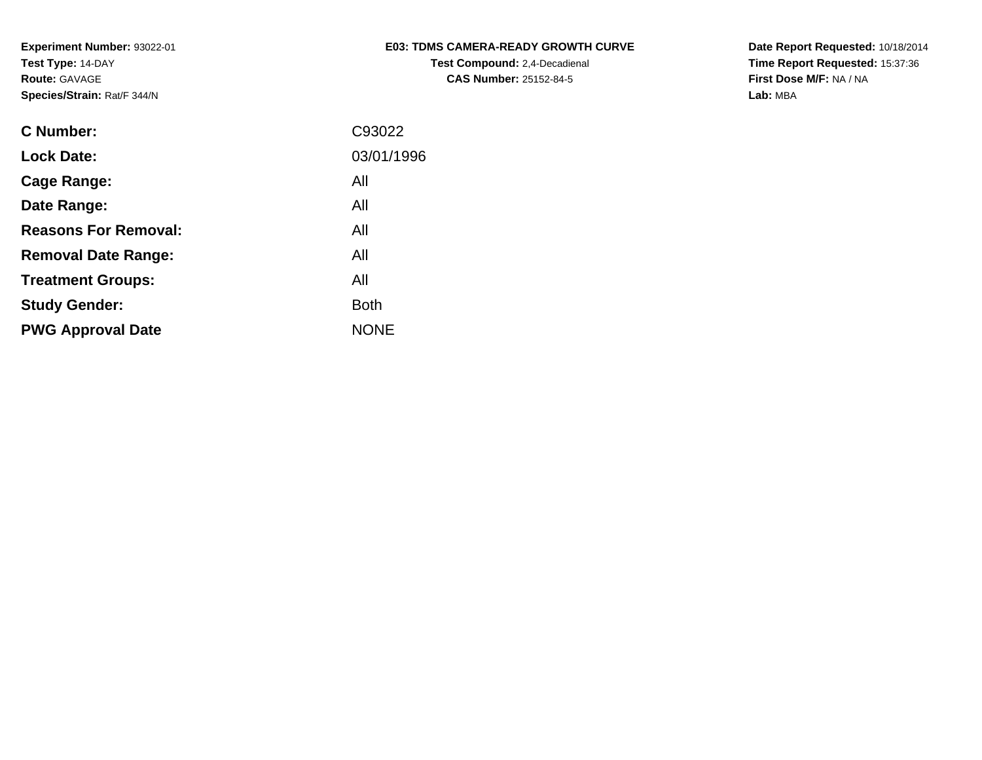|  |                                  | <b>E03: TDMS CAMERA-READY GROWTH CURVE</b> |  |
|--|----------------------------------|--------------------------------------------|--|
|  | Toot Composited: 0.4 Description |                                            |  |

**Test Compound:** 2,4-Decadienal **CAS Number:** 25152-84-5

**Date Report Requested:** 10/18/2014 **Time Report Requested:** 15:37:36**First Dose M/F:** NA / NA**Lab:** MBA

| <b>C</b> Number:            | C93022      |
|-----------------------------|-------------|
| <b>Lock Date:</b>           | 03/01/1996  |
| Cage Range:                 | All         |
| Date Range:                 | All         |
| <b>Reasons For Removal:</b> | All         |
| <b>Removal Date Range:</b>  | All         |
| <b>Treatment Groups:</b>    | All         |
| <b>Study Gender:</b>        | <b>Both</b> |
| <b>PWG Approval Date</b>    | <b>NONE</b> |
|                             |             |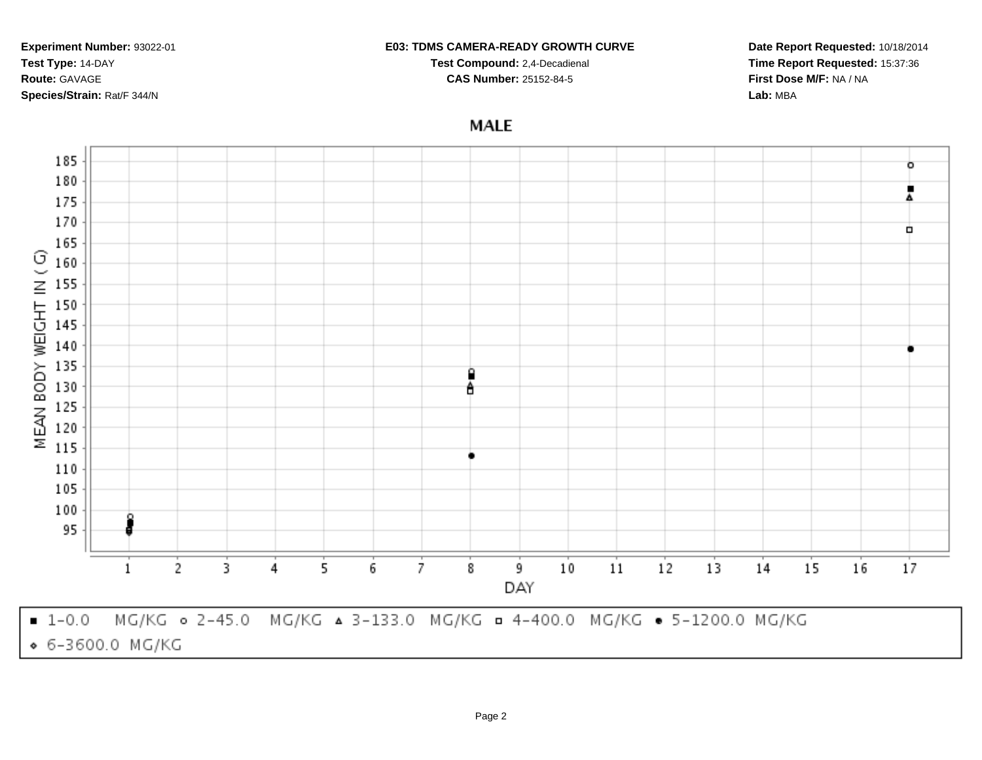#### **E03: TDMS CAMERA-READY GROWTH CURVE**

**Test Compound:** 2,4-Decadienal **CAS Number:** 25152-84-5

**Date Report Requested:** 10/18/2014**Time Report Requested:** 15:37:36**First Dose M/F:** NA / NA**Lab:** MBA

## **MALE**

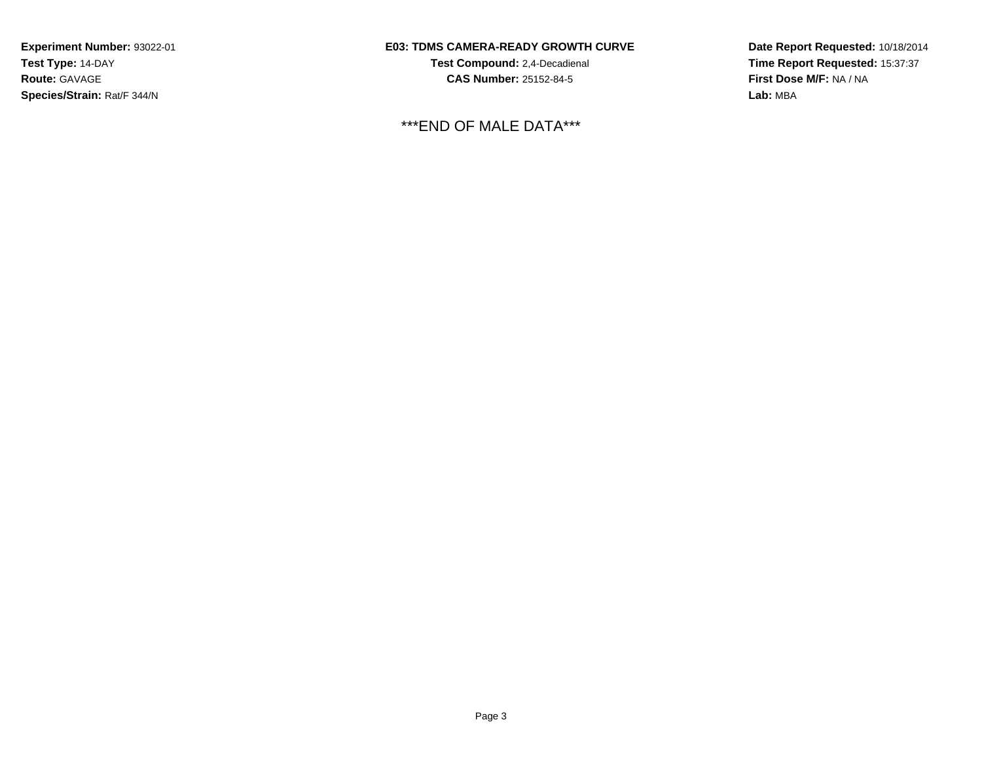## **E03: TDMS CAMERA-READY GROWTH CURVE**

**Test Compound:** 2,4-Decadienal **CAS Number:** 25152-84-5

\*\*\*END OF MALE DATA\*\*\*

**Date Report Requested:** 10/18/2014**Time Report Requested:** 15:37:37**First Dose M/F:** NA / NA**Lab:** MBA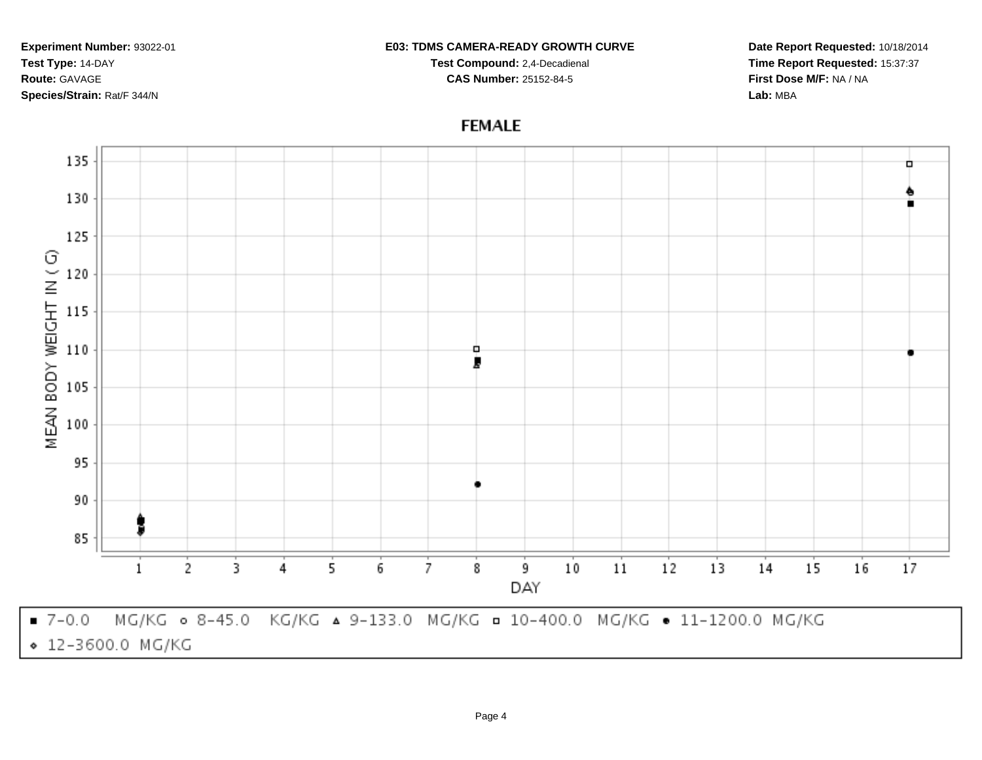#### **E03: TDMS CAMERA-READY GROWTH CURVE**

**Test Compound:** 2,4-Decadienal **CAS Number:** 25152-84-5

**Date Report Requested:** 10/18/2014**Time Report Requested:** 15:37:37**First Dose M/F:** NA / NA**Lab:** MBA

# **FEMALE**